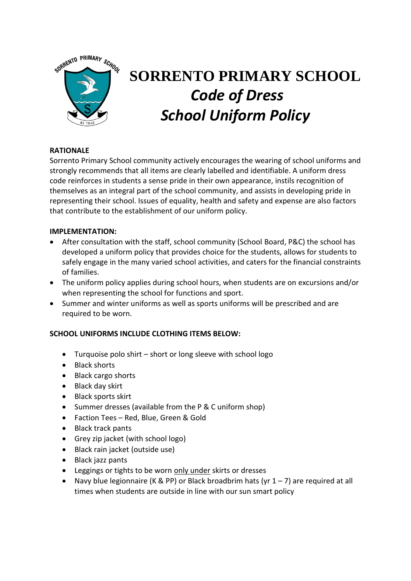

# **SORRENTO PRIMARY SCHOOL**  *Code of Dress School Uniform Policy*

## **RATIONALE**

Sorrento Primary School community actively encourages the wearing of school uniforms and strongly recommends that all items are clearly labelled and identifiable. A uniform dress code reinforces in students a sense pride in their own appearance, instils recognition of themselves as an integral part of the school community, and assists in developing pride in representing their school. Issues of equality, health and safety and expense are also factors that contribute to the establishment of our uniform policy.

## **IMPLEMENTATION:**

- After consultation with the staff, school community (School Board, P&C) the school has developed a uniform policy that provides choice for the students, allows for students to safely engage in the many varied school activities, and caters for the financial constraints of families.
- The uniform policy applies during school hours, when students are on excursions and/or when representing the school for functions and sport.
- Summer and winter uniforms as well as sports uniforms will be prescribed and are required to be worn.

## **SCHOOL UNIFORMS INCLUDE CLOTHING ITEMS BELOW:**

- Turquoise polo shirt short or long sleeve with school logo
- Black shorts
- Black cargo shorts
- Black day skirt
- Black sports skirt
- Summer dresses (available from the P & C uniform shop)
- Faction Tees Red, Blue, Green & Gold
- Black track pants
- Grey zip jacket (with school logo)
- Black rain jacket (outside use)
- Black jazz pants
- Leggings or tights to be worn only under skirts or dresses
- Navy blue legionnaire (K & PP) or Black broadbrim hats (yr  $1 7$ ) are required at all times when students are outside in line with our sun smart policy